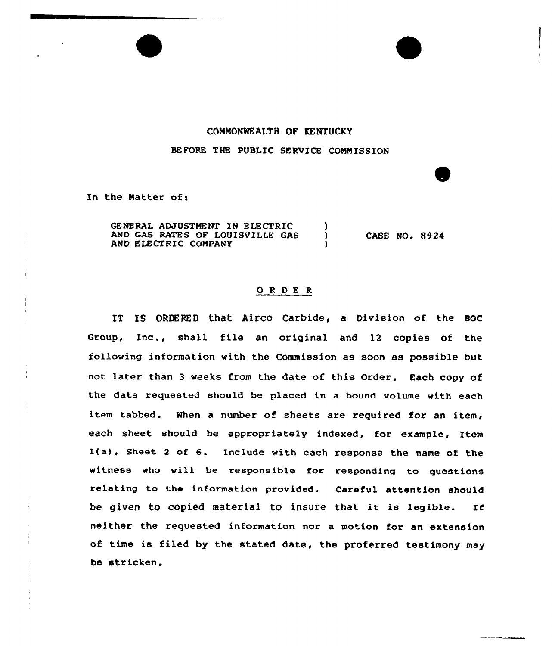## CONMONMEALTH OF KENTUCKY

BEFORE THE PUBLIC SERVICE COMMISSION

In the Matter of:

GENERAL ADJUSTMENT IN ELECTRIC (1)<br>AND GAS RATES OF LOUISVILLE GAS AND GAS RATES OF LOUISVILLE GAS AND ELECTRIC COMPANY CASE NO. 8924

## 0 <sup>R</sup> DE <sup>R</sup>

IT IS ORDERED that Airco Carbide, a Division of the BOC Group, Inc., shall file an original and <sup>12</sup> copies of the following information with the Commission as soon as possible but not later than <sup>3</sup> weeks from the date of this Order. Each copy of the data requested should be placed in a bound volume with each item tabbed. When a number of sheets are required for an item, each sheet should be appropriately indexed, for example, Item l(a}, Sheet <sup>2</sup> of 6. Include with each response the name of the witness who will be responsible for responding to questions relating to the information provided. Careful attention should be given to copied material to insure that it is legible. If neither the requested information nor a motion for an extension of time is filed by the stated date, the proferred testimony may be stricken.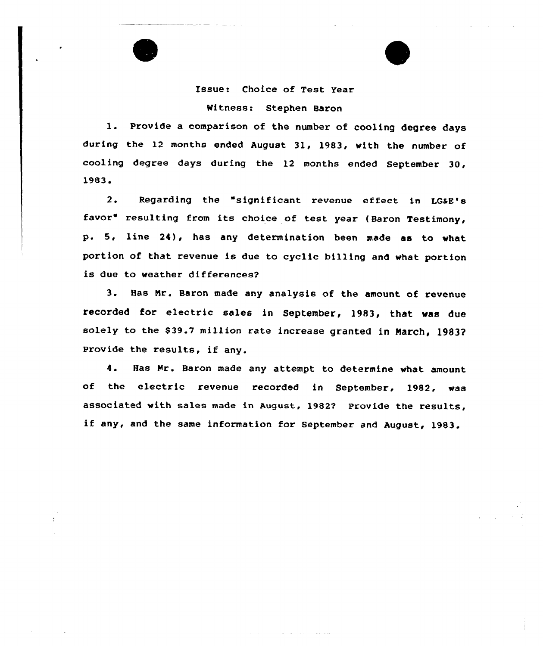## Issue: Choice of Test Year Witness: Stephen Baron

1. Provide <sup>a</sup> comparison of the number of cooling degree days during the 12 months ended August 31, 1983, with the number of cooling degree days during the 12 months ended September 30,  $1983.$ <br> $2.$ 

Regarding the "significant revenue effect in LGaE's favor" resulting from its choice of test year (Baron Testimony, p. 5, line 24), has any determination been made as to what portion of that revenue is due to cyclic billing and what portion is due to weather differences?

3. Has Nr. Baron made any analysis of the amount of revenue recorded for electric sales in September, 1983, that was due solely to the \$39.7 million rate increase granted in March, 1983? Provide the results, if any.

4. Has Hr. Baron made any attempt to determine what amount of the electric revenue recorded in September, 1982, was associated with sales made in August, 1982'? Provide the results, if any, and the same information for September and August, 1983.

 $\ddot{\cdot}$